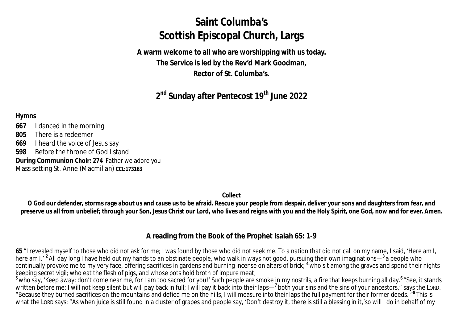# **Saint Columba's Scottish Episcopal Church, Largs**

**A warm welcome to all who are worshipping with us today. The Service is led by the Rev'd Mark Goodman, Rector of St. Columba's.**

**2 nd Sunday after Pentecost 19 th June 2022**

#### **Hymns**

**667** I danced in the morning

**805** There is a redeemer

**669** I heard the voice of Jesus say

**598** Before the throne of God I stand

**During Communion Choir: 274** Father we adore you

Mass setting St. Anne (Macmillan) **CCL:173163** 

**Collect**

**O God our defender, storms rage about us and cause us to be afraid. Rescue your people from despair, deliver your sons and daughters from fear, and preserve us all from unbelief; through your Son, Jesus Christ our Lord, who lives and reigns with you and the Holy Spirit, one God, now and for ever. Amen.**

## **A reading from the Book of the Prophet Isaiah 65: 1-9**

**65** "I revealed myself to those who did not ask for me; I was found by those who did not seek me. To a nation that did not call on my name, I said, 'Here am I, here am I.' **<sup>2</sup>** All day long I have held out my hands to an obstinate people, who walk in ways not good, pursuing their own imaginations— **3** a people who continually provoke me to my very face, offering sacrifices in gardens and burning incense on altars of brick; **<sup>4</sup>** who sit among the graves and spend their nights keeping secret vigil; who eat the flesh of pigs, and whose pots hold broth of impure meat;

<sup>5</sup> who say, 'Keep away; don't come near me, for I am too sacred for you!' Such people are smoke in my nostrils, a fire that keeps burning all day.<sup>6</sup> "See, it stands written before me: I will not keep silent but will pay back in full; I will pay it back into their laps—<sup>7</sup> both your sins and the sins of your ancestors," says the LORD. "Because they burned sacrifices on the mountains and defied me on the hills, I will measure into their laps the full payment for their former deeds. " **8** This is what the LORD says: "As when juice is still found in a cluster of grapes and people say, 'Don't destroy it, there is still a blessing in it,'so will I do in behalf of my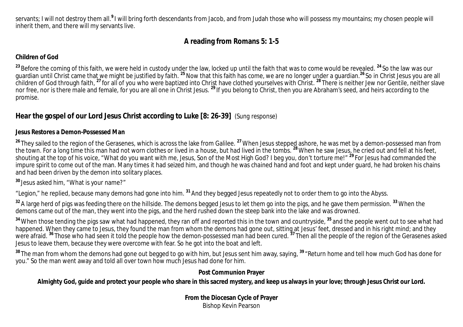servants; I will not destroy them all.<sup>9</sup>I will bring forth descendants from Jacob, and from Judah those who will possess my mountains; my chosen people will inherit them, and there will my servants live.

# **A reading from Romans 5: 1-5**

## **Children of God**

<sup>23</sup> Before the coming of this faith, we were held in custody under the law, locked up until the faith that was to come would be revealed. <sup>24</sup> So the law was our guardian until Christ came that we might be justified by faith. **<sup>25</sup>** Now that this faith has come, we are no longer under a guardian.**<sup>26</sup>** So in Christ Jesus you are all children of God through faith, **<sup>27</sup>** for all of you who were baptized into Christ have clothed yourselves with Christ. **<sup>28</sup>** There is neither Jew nor Gentile, neither slave nor free, nor is there male and female, for you are all one in Christ Jesus. **<sup>29</sup>** If you belong to Christ, then you are Abraham's seed, and heirs according to the promise.

# **Hear the gospel of our Lord Jesus Christ according to Luke [8: 26-39]** *(Sung response)*

### **Jesus Restores a Demon-Possessed Man**

<sup>26</sup> They sailed to the region of the Gerasenes, which is across the lake from Galilee. <sup>27</sup> When Jesus stepped ashore, he was met by a demon-possessed man from the town. For a long time this man had not worn clothes or lived in a house, but had lived in the tombs. **<sup>28</sup>**When he saw Jesus, he cried out and fell at his feet, shouting at the top of his voice, "What do you want with me, Jesus, Son of the Most High God? I beg you, don't torture me!" **<sup>29</sup>** For Jesus had commanded the impure spirit to come out of the man. Many times it had seized him, and though he was chained hand and foot and kept under guard, he had broken his chains and had been driven by the demon into solitary places.

**<sup>30</sup>** Jesus asked him, "What is your name?"

"Legion," he replied, because many demons had gone into him. **<sup>31</sup>** And they begged Jesus repeatedly not to order them to go into the Abyss.

**<sup>32</sup>** A large herd of pigs was feeding there on the hillside. The demons begged Jesus to let them go into the pigs, and he gave them permission. **<sup>33</sup>** When the demons came out of the man, they went into the pigs, and the herd rushed down the steep bank into the lake and was drowned.

<sup>34</sup> When those tending the pigs saw what had happened, they ran off and reported this in the town and countryside, <sup>35</sup> and the people went out to see what had happened. When they came to Jesus, they found the man from whom the demons had gone out, sitting at Jesus' feet, dressed and in his right mind; and they happened. When they came to Jesus, they found the man from whom the d were afraid. <sup>36</sup> Those who had seen it told the people how the demon-possessed man had been cured. <sup>37</sup> Then all the people of the region of the Gerasenes asked Jesus to leave them, because they were overcome with fear. So he got into the boat and left.

**<sup>38</sup>** The man from whom the demons had gone out begged to go with him, but Jesus sent him away, saying, **<sup>39</sup>** "Return home and tell how much God has done for you." So the man went away and told all over town how much Jesus had done for him.

## **Post Communion Prayer**

## **Almighty God, guide and protect your people who share in this sacred mystery, and keep us always in your love; through Jesus Christ our Lord.**

**From the Diocesan Cycle of Prayer** Bishop Kevin Pearson